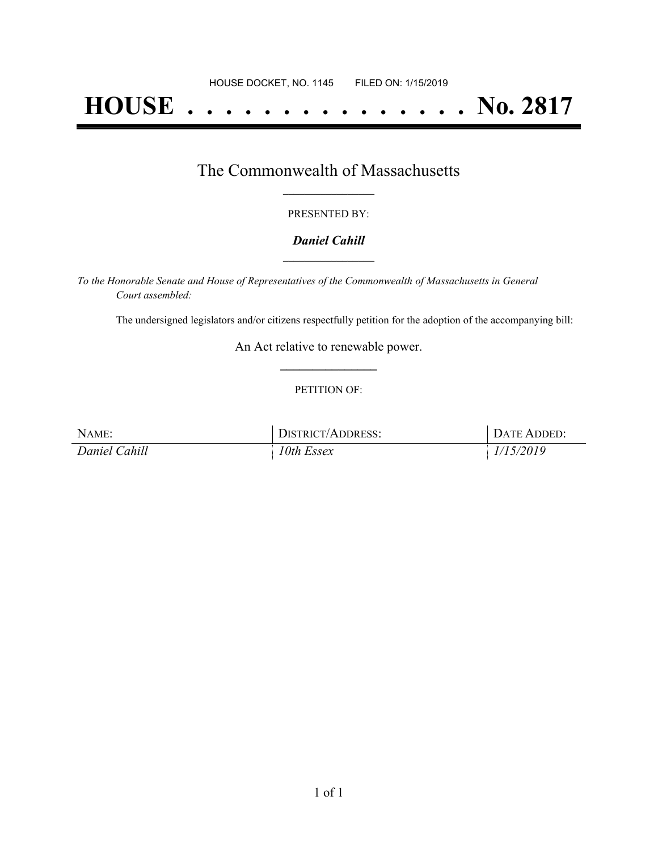# **HOUSE . . . . . . . . . . . . . . . No. 2817**

### The Commonwealth of Massachusetts **\_\_\_\_\_\_\_\_\_\_\_\_\_\_\_\_\_**

#### PRESENTED BY:

#### *Daniel Cahill* **\_\_\_\_\_\_\_\_\_\_\_\_\_\_\_\_\_**

*To the Honorable Senate and House of Representatives of the Commonwealth of Massachusetts in General Court assembled:*

The undersigned legislators and/or citizens respectfully petition for the adoption of the accompanying bill:

An Act relative to renewable power. **\_\_\_\_\_\_\_\_\_\_\_\_\_\_\_**

#### PETITION OF:

| NAME:         | DISTRICT/ADDRESS: | DATE ADDED: |
|---------------|-------------------|-------------|
| Daniel Cahill | 10th Essex        | 1/15/2019   |